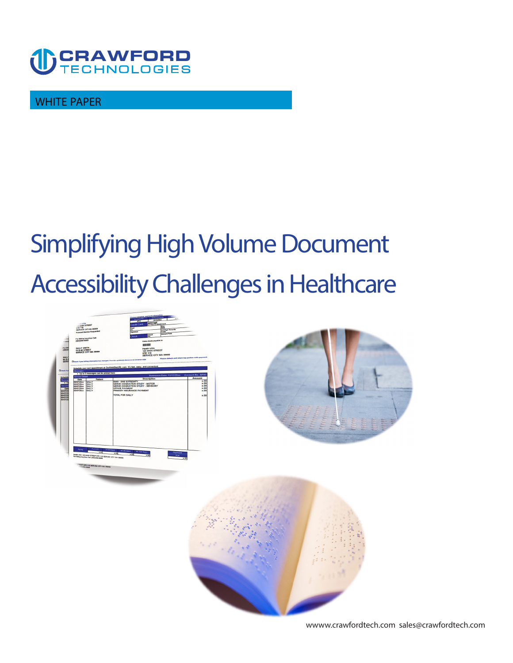

**WHITE PAPER** 

# **Simplifying High Volume Document Accessibility Challenges in Healthcare**



**<wwww.crawfordtech.com>[sales@crawfordtech.com](mailto:sales@crawfordtech.com)**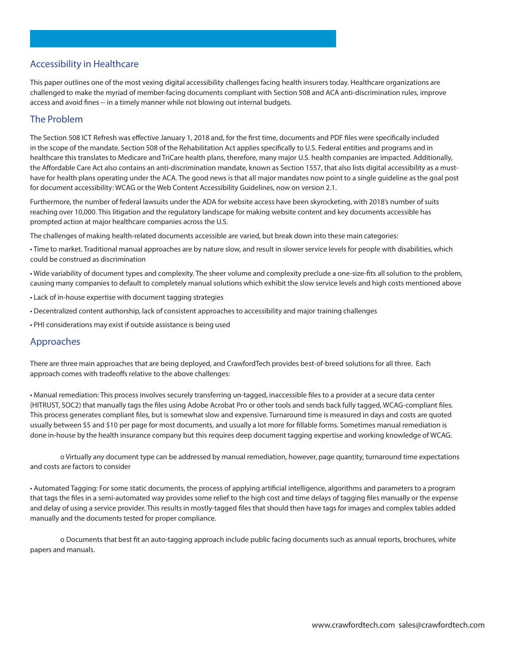# **Accessibility in Healthcare**

**This paper outlines one of the most vexing digital accessibility challenges facing health insurers today. Healthcare organizations are challenged to make the myriad of member-facing documents compliant with Section 508 and ACA anti-discrimination rules, improve access and avoid fines -- in a timely manner while not blowing out internal budgets.** 

### **The Problem**

**The Section 508 ICT Refresh was effective January 1, 2018 and, for the first time, documents and PDF files were specifically included in the scope of the mandate. Section 508 of the Rehabilitation Act applies specifically to U.S. Federal entities and programs and in healthcare this translates to Medicare and TriCare health plans, therefore, many major U.S. health companies are impacted. Additionally, the Affordable Care Act also contains an anti-discrimination mandate, known as Section 1557, that also lists digital accessibility as a musthave for health plans operating under the ACA. The good news is that all major mandates now point to a single guideline as the goal post for document accessibility: WCAG or the Web Content Accessibility Guidelines, now on version 2.1.** 

**Furthermore, the number of federal lawsuits under the ADA for website access have been skyrocketing, with 2018's number of suits reaching over 10,000. This litigation and the regulatory landscape for making website content and key documents accessible has prompted action at major healthcare companies across the U.S.** 

**The challenges of making health-related documents accessible are varied, but break down into these main categories:** 

**• Time to market. Traditional manual approaches are by nature slow, and result in slower service levels for people with disabilities, which could be construed as discrimination** 

**• Wide variability of document types and complexity. The sheer volume and complexity preclude a one-size-fits all solution to the problem, causing many companies to default to completely manual solutions which exhibit the slow service levels and high costs mentioned above** 

- **• Lack of in-house expertise with document tagging strategies**
- **• Decentralized content authorship, lack of consistent approaches to accessibility and major training challenges**
- **• PHI considerations may exist if outside assistance is being used**

### **Approaches**

**There are three main approaches that are being deployed, and CrawfordTech provides best-of-breed solutions for all three. Each approach comes with tradeoffs relative to the above challenges:** 

**• Manual remediation: This process involves securely transferring un-tagged, inaccessible files to a provider at a secure data center (HITRUST, SOC2) that manually tags the files using Adobe Acrobat Pro or other tools and sends back fully tagged, WCAG-compliant files. This process generates compliant files, but is somewhat slow and expensive. Turnaround time is measured in days and costs are quoted usually between \$5 and \$10 per page for most documents, and usually a lot more for fillable forms. Sometimes manual remediation is done in-house by the health insurance company but this requires deep document tagging expertise and working knowledge of WCAG.** 

**o Virtually any document type can be addressed by manual remediation, however, page quantity, turnaround time expectations and costs are factors to consider** 

**• Automated Tagging: For some static documents, the process of applying artificial intelligence, algorithms and parameters to a program that tags the files in a semi-automated way provides some relief to the high cost and time delays of tagging files manually or the expense and delay of using a service provider. This results in mostly-tagged files that should then have tags for images and complex tables added manually and the documents tested for proper compliance.** 

**o Documents that best fit an auto-tagging approach include public facing documents such as annual reports, brochures, white papers and manuals.**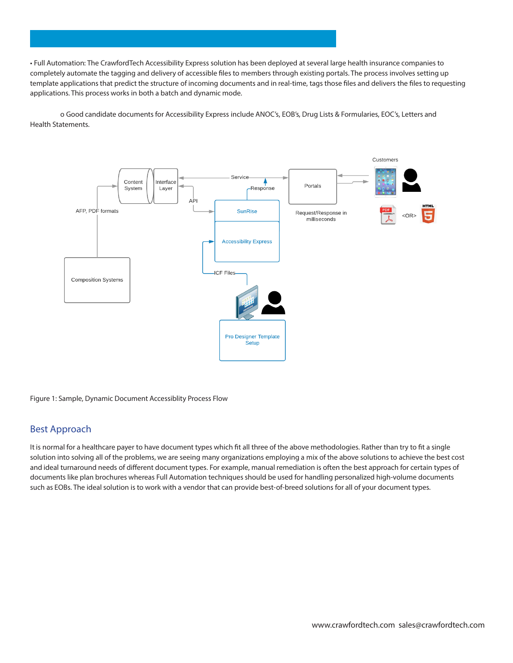**• Full Automation: The CrawfordTech Accessibility Express solution has been deployed at several large health insurance companies to completely automate the tagging and delivery of accessible files to members through existing portals. The process involves setting up template applications that predict the structure of incoming documents and in real-time, tags those files and delivers the files to requesting applications. This process works in both a batch and dynamic mode.** 

**o Good candidate documents for Accessibility Express include ANOC's, EOB's, Drug Lists & Formularies, EOC's, Letters and Health Statements.** 



**Figure 1: Sample, Dynamic Document Accessiblity Process Flow** 

### **Best Approach**

**It is normal for a healthcare payer to have document types which fit all three of the above methodologies. Rather than try to fit a single solution into solving all of the problems, we are seeing many organizations employing a mix of the above solutions to achieve the best cost and ideal turnaround needs of different document types. For example, manual remediation is often the best approach for certain types of documents like plan brochures whereas Full Automation techniques should be used for handling personalized high-volume documents such as EOBs. The ideal solution is to work with a vendor that can provide best-of-breed solutions for all of your document types.**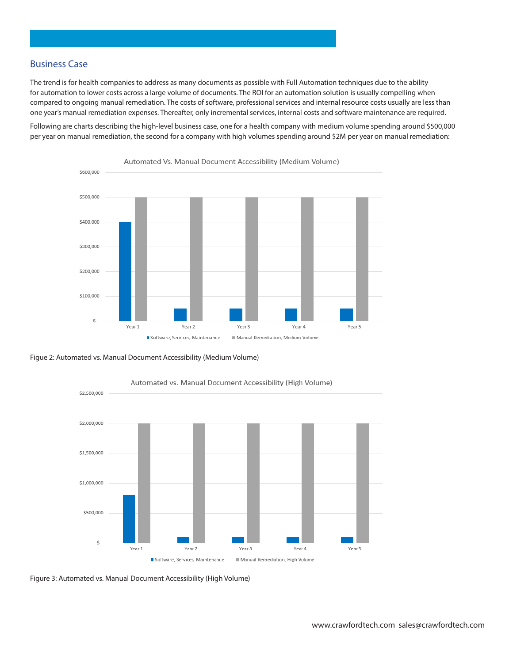## **Business Case**

**The trend is for health companies to address as many documents as possible with Full Automation techniques due to the ability for automation to lower costs across a large volume of documents. The ROI for an automation solution is usually compelling when compared to ongoing manual remediation. The costs of software, professional services and internal resource costs usually are less than one year's manual remediation expenses. Thereafter, only incremental services, internal costs and software maintenance are required.** 

**Following are charts describing the high-level business case, one for a health company with medium volume spending around \$500,000 per year on manual remediation, the second for a company with high volumes spending around \$2M per year on manual remediation:** 







Automated vs. Manual Document Accessibility (High Volume)

**Figure 3: Automated vs. Manual Document Accessibility (High Volume)**